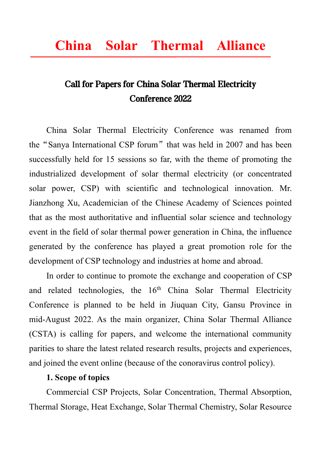# Call for Papers for China Solar Thermal Electricity Conference 2022

China Solar Thermal Electricity Conference was renamed from the "Sanya International CSP forum" that was held in 2007 and has been successfully held for 15 sessions so far, with the theme of promoting the industrialized development of solar thermal electricity (or concentrated solar power, CSP) with scientific and technological innovation. Mr. Jianzhong Xu, Academician of the Chinese Academy of Sciences pointed that as the most authoritative and influential solar science and technology event in the field of solar thermal power generation in China, the influence generated by the conference has played a great promotion role for the development of CSP technology and industries at home and abroad.

In order to continue to promote the exchange and cooperation of CSP and related technologies, the 16<sup>th</sup> China Solar Thermal Electricity Conference is planned to be held in Jiuquan City, Gansu Province in mid-August 2022. As the main organizer, China Solar Thermal Alliance (CSTA) is calling for papers, and welcome the international community parities to share the latest related research results, projects and experiences, and joined the event online (because of the conoravirus control policy).

## **1. Scope of topics**

Commercial CSP Projects, Solar Concentration, Thermal Absorption, Thermal Storage, Heat Exchange, Solar Thermal Chemistry, Solar Resource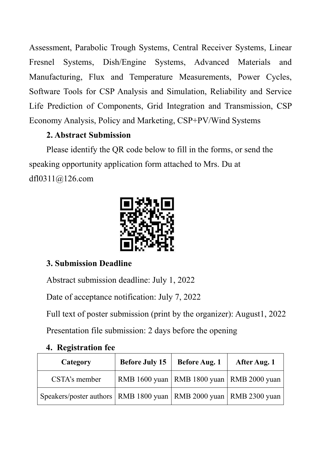Assessment, Parabolic Trough Systems, Central Receiver Systems, Linear Fresnel Systems, Dish/Engine Systems, Advanced Materials and Manufacturing, Flux and Temperature Measurements, Power Cycles, Software Tools for CSP Analysis and Simulation, Reliability and Service Life Prediction of Components, Grid Integration and Transmission, CSP Economy Analysis, Policy and Marketing, CSP+PV/Wind Systems

# **2. Abstract Submission**

Please identify the QR code below to fill in the forms, or send the speaking opportunity application form attached to Mrs. Du at dfl0311@126.com



# **3. Submission Deadline**

Abstract submission deadline: July 1, 2022

Date of acceptance notification: July 7, 2022

Full text of poster submission (print by the organizer): August1, 2022

Presentation file submission: 2 days before the opening

|  | 4. Registration fee |  |
|--|---------------------|--|
|--|---------------------|--|

| Category                                                                | <b>Before July 15</b>                         | <b>Before Aug. 1</b> | After Aug. 1 |
|-------------------------------------------------------------------------|-----------------------------------------------|----------------------|--------------|
| CSTA's member                                                           | RMB 1600 yuan   RMB 1800 yuan   RMB 2000 yuan |                      |              |
| Speakers/poster authors   RMB 1800 yuan   RMB 2000 yuan   RMB 2300 yuan |                                               |                      |              |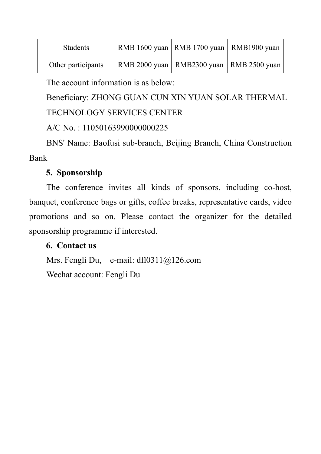| <b>Students</b>    | RMB 1600 yuan   RMB 1700 yuan   RMB 1900 yuan |  |
|--------------------|-----------------------------------------------|--|
| Other participants | RMB 2000 yuan   RMB 2300 yuan   RMB 2500 yuan |  |

The account information is as below:

Beneficiary: ZHONG GUAN CUN XIN YUAN SOLAR THERMAL

TECHNOLOGY SERVICES CENTER

A/C No. : 11050163990000000225

BNS' Name: Baofusi sub-branch, Beijing Branch, China Construction Bank

## **5. Sponsorship**

The conference invites all kinds of sponsors, including co-host, banquet, conference bags or gifts, coffee breaks, representative cards, video promotions and so on. Please contact the organizer for the detailed sponsorship programme if interested.

## **6. Contact us**

Mrs. Fengli Du, e-mail: dfl0311@126.com Wechat account: Fengli Du